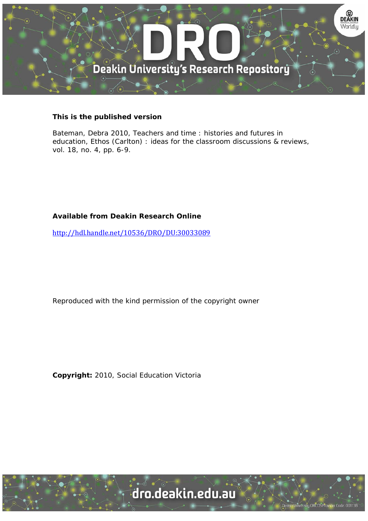

#### **This is the published version**

Bateman, Debra 2010, Teachers and time : histories and futures in education, Ethos (Carlton) : ideas for the classroom discussions & reviews, vol. 18, no. 4, pp. 6-9.

#### **Available from Deakin Research Online**

http://hdl.handle.net/10536/DRO/DU:30033089

Reproduced with the kind permission of the copyright owner

**Copyright:** 2010, Social Education Victoria

University CRICOS Provider Code: 00113B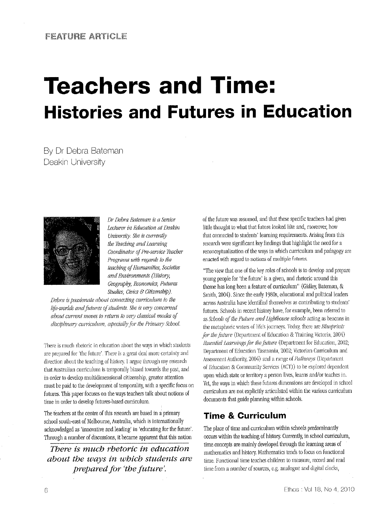# **Teachers and Time: Histories and Futures in Education**

By Dr Debra Bateman Deakin University



Dr Debra Bateman is a Senior Lecturer in Education at Deakin University. She is currently the Teaching and Learning Coordinator of Pre-service Teacher Programs with regards to the leaching of Humanities, Societies and Environments (History, Geography, Economics, Futures Studies, Civics & Citizenship).

Debra is passionate about connecting curriculum to the life-worlds and futures of students. She is very concerned about current moves to return to very classical modes of disciplinary curriculum, especially for the Primary School.

There is much rhetoric in education about the ways in which students are prepared for 'the future'. There is a great deal more certainty and direction about the teaching of history. I argue through my research that Australian curriculum is temporally biased towards the past, and in order to develop multidimensional citizenship, greater attention must be paid to the development of temporality, with a specific focus on futures. This paper focuses on the ways teachers talk about notions of time in order to develop futures-based curriculum.

The teachers at the centre of this research are based in a primary school south-east of Melbourne, Australia, which is internationally acknowledged as 'innovative and leading' in 'educating for the future'. Through a number of discussions, it became apparent that this notion

There is much rhetoric in education about the ways in which students are prepared for 'the future'.

of the future was assumed, and that these specific teachers had given little thought to what that future looked like and, moreover, how that connected to students' learning requirements. Arising from this research were significant key findings that highlight the need for a reconceptualisation of the ways in which curriculum and pedagogy are enacted with regard to notions of multiple futures.

"The view that one of the key roles of schools is to develop and prepare young people for 'the future' is a given, and rhetoric around this theme has long been a feature of curriculum" (Gidley, Bateman, & Smith, 2004). Since the early 1980s, educational and political leaders across Australia have identified themselves as contributing to students' futures. Schools in recent history have, for example, been referred to as Schools of the Future and Lighthouse schools acting as beacons in the metaphoric waters of life's journeys. Today, there are Blueprints for the future (Department of Education & Training Victoria, 2004) Essential Learnings for the future (Department for Education, 2002; Department of Education Tasmania, 2002; Victorian Curriculum and Assessment Authority, 2004) and a range of Pathways (Department of Education & Community Services (ACT)) to be explored dependent upon which state or territory a person lives, learns and/or teaches in. Yet, the ways in which these futures dimensions are developed in school curriculum are not explicitly articulated within the various curriculum documents that guide planning within schools.

### **Time & Curriculum**

The place of time and curriculum within schools predominantly occurs within the teaching of history. Currently, in school curriculum, time concepts are mainly developed through the learning areas of mathematics and history. Mathematics tends to focus on functional time. Functional time teaches children to measure, record and read time from a number of sources, e.g. analogue and digital clocks,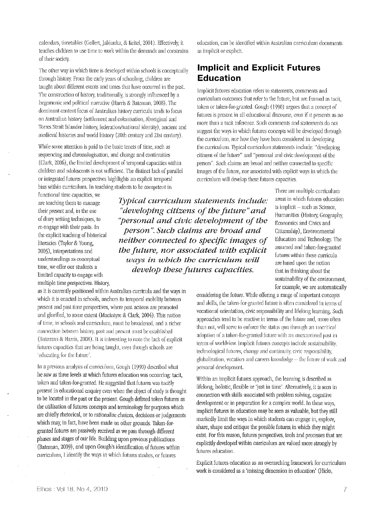calendars, timetables (Gellert, Jablonka, & Keitel, 2001). Effectively, it teaches children to use time to work within the demands and constrains of their society.

The other way in which time is developed within schools is conceptually through history. From the early years of schooling, children are taught about different events and times that have occurred in the past. The construction of history, traditionally, is strongly influenced by a hegemonic and political narrative (Harris & Bateman, 2008). The dominant content focus of Australian history curricula tends to focus on Australian history (settlement and colonisation, Aboriginal and Torres Strait Islander history, federation/national identity), ancient and medieval histories and world history (20th century and 21st century).

While some attention is paid to the basic tenets of time, such as sequencing and chronologisation, and change and continuities (Clark, 2006), the limited development of temporal capacities within children and adolescents is not sufficient. The distinct lack of parallel or integrated futures perspectives highlights an explicit temporal bias within curriculum. In teaching students to be competent in

functional time capacities, we are teaching them to manage their present and, in the use of diary writing techniques, to re-engage with their pasts. In the explicit teaching of historical literacies (Taylor & Young, 2003), interpretations and understandings as conceptual time, we offer our students a limited capacity to engage with multiple time perspectives. History,

as it is currently positioned within Australian curricula and the ways in which it is enacted in schools, anchors its temporal mobility between present and past time perspectives, where past actions are promoted and glorified, to some extent (Macintyre & Clark, 2004). This notion of time, in schools and curriculum, must be broadened, and a richer connection between history, past and present must be established (Bateman & Harris, 2008). It is interesting to note the lack of explicit futures capacities that are being taught, even though schools are 'educating for the future'.

In a previous analysis of curriculum, Gough (1990) described what he saw as three levels at which futures education was occurring; tacit, token and taken-for-granted. He suggested that futures was tacitly present in educational enquiry even when the object of study is thought to be located in the past or the present. Gough defined token futures as the utilisation of futures concepts and terminology for purposes which are chiefly rhetorical, or to rationalise choices, decisions or judgements which may, in fact, have been made on other grounds. Taken-forgranted futures are passively received as we pass through different phases and stages of our life. Building upon previous publications (Bateman, 2009), and upon Gough's identification of futures within curriculum, I identify the ways in which futures studies, or futures

education, can be identified within Australian curriculum documents as implicit or explicit.

## **Implicit and Explicit Futures Education**

Implicit futures education refers to statements, comments and curriculum outcomes that refer to the future, but are framed as tacit, token or taken-for-granted. Gough (1990) argues that a concept of futures is present in all educational discourse, even if it presents as no more than a tacit inference. Such comments and statements do not suggest the ways in which futures concepts will be developed through the curriculum, nor how they have been considered in developing the curriculum. Typical curriculum statements include: "developing citizens of the future" and "personal and civic development of the person". Such claims are broad and neither connected to specific images of the future, nor associated with explicit ways in which the curriculum will develop these futures capacities.

Typical curriculum statements include: "developing citizens of the future" and "personal and civic development of the person". Such claims are broad and neither connected to specific images of the future, nor associated with explicit ways in which the curriculum will develop these futures capacities.

There are multiple curriculum areas in which futures education is implicit - such as Science, Humanities (History, Geography, Economics and Civics and Citizenship), Environmental Education and Technology. The assumed and taken-for-granted futures within these curricula are based upon the notion that in thinking about the sustainability of the environment, for example, we are automatically

considering the future. While offering a range of important concepts and skills, the taken-for-granted future is often considered in terms of vocational orientation, civic responsibility and lifelong learning. Such approaches tend to be reactive in terms of the future and, more often than not, will serve to enforce the status quo through an uncritical adoption of a taken-for-granted future with an unexamined past in terms of worldview. Implicit futures concepts include sustainability, technological futures, change and continuity, civic responsibility, globalisation, vocation and careers knowledge -- the future of work and personal development.

Within an implicit futures approach, the learning is described as lifelong, holistic, flexible or 'just in time'. Alternatively, it is seen in connection with skills associated with problem solving, cognitive development or in preparation for a complex world. In these ways, implicit futures in education may be seen as valuable, but they still markedly limit the ways in which students can engage in, explore, share, shape and critique the possible futures in which they might exist. For this reason, futures perspectives, tools and processes that are explicitly developed within curriculum are valued more strongly by futures education.

Explicit futures education as an overarching framework for curriculum work is considered as a 'missing dimension in education' (Hicks,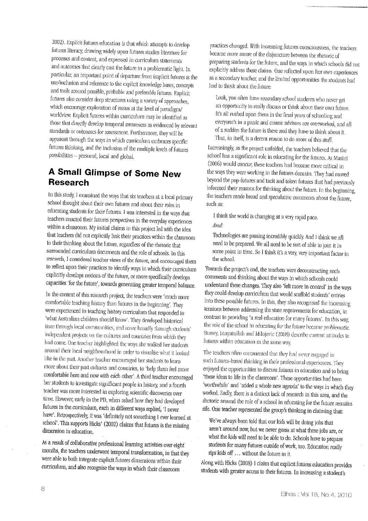2002). Explicit futures education is that which attempts to develop futures literacy, drawing widely upon futures studies literature for processes and content, and expressed in curriculum statements and outcomes that clearly cast the future in a problematic light. In particular, an important point of departure from implicit futures is the use/inclusion and reference to the explicit knowledge bases, concepts and tools around possible, probable and preferable futures. Explicit futures also consider deep structures using a variety of approaches, which encourage exploration of issues at the level of paradigm/ worldview. Explicit futures within curriculum may be identified as those that directly develop temporal awareness as evidenced by relevant standards or outcomes for assessment. Furthermore, they will be apparent through the ways in which curriculum embraces specific futures thinking, and the inclusion of the multiple levels of futures possibilities - personal, local and global.

## **A Small Glimpse of Some New Research**

In this study, I examined the ways that six teachers at a local primary school thought about their own futures and about their roles in educating students for their futures. I was interested in the ways that teachers enacted their futures perspectives in the everyday experiences within a classroom. My initial claims in this project led with the idea that teachers did not explicitly link their practices within the classroom to their thinking about the future, regardless of the rhetoric that surrounded curriculum documents and the role of schools. In this research, I considered teacher views of the future, and encouraged them to reflect upon their practices to identify ways in which their curriculum explicitly develops notions of the future, or more specifically develops capacities 'for the future', towards generating greater temporal balance.

In the context of this research project, the teachers were 'much more comfortable teaching history than futures in the beginning'. They were experienced in teaching history curriculum that responded to 'what Australian children should know'. They developed historical time through local communities, and more broadly through students' independent projects on the cultures and countries from which they had come. One teacher highlighted the ways she walked her students around their local neighbourhood in order to visualise what it looked like in the past. Another teacher encouraged her students to learn more about their past cultures and countries, to 'help them feel more comfortable here and now with each other'. A third teacher encouraged her students to investigate significant people in history, and a fourth teacher was more interested in exploring scientific discoveries over time. However, early in the PD, when asked how they had developed futures in the curriculum, each in different ways replied, 'I never have'. Retrospectively, it was 'definitely not something I ever learned at school'. This supports Hicks' (2002) claims that futures is the missing dimension in education.

As a result of collaborative professional learning activities over eight months, the teachers underwent temporal transformation, in that they were able to both integrate explicit futures dimensions within their curriculum, and also recognise the ways in which their classroom

practices changed. With increasing futures consciousness, the teachers became more aware of the disjuncture between the rhetoric of preparing students for the future, and the ways in which schools did not explicitly address these claims. One reflected upon her own experiences as a secondary teacher, and the limited opportunities the students had had to think about the future:

Look, you often have secondary school students who never get an opportunity to really discuss or think about their own future. It's all rushed upon them in the final years of schooling and everyone's in a panic and course advisors are overworked, and all of a sudden the future is there and they have to think about it. That, in itself, is a decent reason to do more of this stuff.

Increasingly, as the project unfolded, the teachers believed that the school has a significant role in educating for the futures. As Masini (2006) would concur, these teachers had become more critical in the ways they were working in the futures domain. They had moved beyond the pop-futures and tacit and token futures that had previously informed their reasons for thinking about the future. In the beginning, the teachers made broad and speculative comments about the future, such as:

I think the world is changing at a very rapid pace. And.

Technologies are passing incredibly quickly. And I think we all need to be prepared. We all need to be sort of able to join it in some point in time. So I think it's a very, very important factor in the school.

Towards the project's end, the teachers were deconstructing such comments and thinking about the ways in which schools could understand these changes. They also 'felt more in control' in the ways they could develop curriculum that would scaffold students' entries into these possible futures. In this, they also recognised the increasing tensions between addressing the state requirements for education, in contrast to providing 'a real education for many futures'. In this way, the role of the school in educating for the future became problematic. Bussey, Inayatullah and Milojevic (2008) describe current attitudes to futures within education in the same way.

The teachers often commented that they had never engaged in such futures-based thinking in their professional experiences. They enjoyed the opportunities to discuss futures in education and to bring 'these ideas to life in the classroom'. These opportunities had been 'worthwhile' and 'added a whole new agenda' to the ways in which they worked. Sadly, there is a distinct lack of research in this area, and the rhetoric around the role of a school in educating for the future remains rife. One teacher represented the group's thinking in claiming that:

We've always been told that our kids will be doing jobs that aren't around now, but we never guess at what these jobs are, or what the kids will need to be able to do. Schools have to prepare students for many futures outside of work, too. Education really rips kids off ... without the future in it.

Along with Hicks (2008) I claim that explicit futures education provides students with greater access to their futures. In increasing a student's